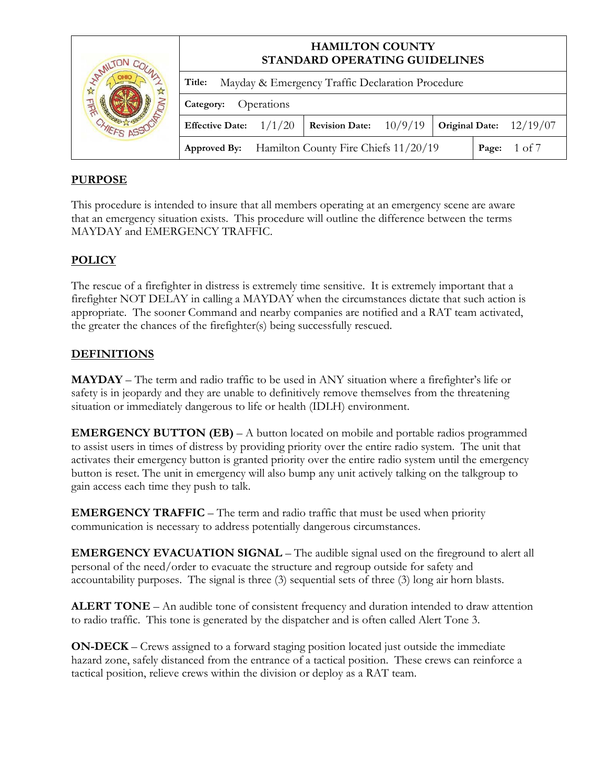| MILI |                        | <b>HAMILTON COUNTY</b><br>STANDARD OPERATING GUIDELINES |                                                   |         |  |                           |  |  |
|------|------------------------|---------------------------------------------------------|---------------------------------------------------|---------|--|---------------------------|--|--|
|      | Title:                 | Mayday & Emergency Traffic Declaration Procedure        |                                                   |         |  |                           |  |  |
|      | Category:              | Operations                                              |                                                   |         |  |                           |  |  |
|      | <b>Effective Date:</b> | 1/1/20                                                  | <b>Revision Date:</b>                             | 10/9/19 |  | Original Date: $12/19/07$ |  |  |
|      |                        |                                                         | Approved By: Hamilton County Fire Chiefs 11/20/19 |         |  | 1 of $7$<br>Page:         |  |  |

## **PURPOSE**

This procedure is intended to insure that all members operating at an emergency scene are aware that an emergency situation exists. This procedure will outline the difference between the terms MAYDAY and EMERGENCY TRAFFIC.

## **POLICY**

The rescue of a firefighter in distress is extremely time sensitive. It is extremely important that a firefighter NOT DELAY in calling a MAYDAY when the circumstances dictate that such action is appropriate. The sooner Command and nearby companies are notified and a RAT team activated, the greater the chances of the firefighter(s) being successfully rescued.

## **DEFINITIONS**

**MAYDAY** – The term and radio traffic to be used in ANY situation where a firefighter's life or safety is in jeopardy and they are unable to definitively remove themselves from the threatening situation or immediately dangerous to life or health (IDLH) environment.

**EMERGENCY BUTTON (EB)** – A button located on mobile and portable radios programmed to assist users in times of distress by providing priority over the entire radio system. The unit that activates their emergency button is granted priority over the entire radio system until the emergency button is reset. The unit in emergency will also bump any unit actively talking on the talkgroup to gain access each time they push to talk.

**EMERGENCY TRAFFIC** – The term and radio traffic that must be used when priority communication is necessary to address potentially dangerous circumstances.

**EMERGENCY EVACUATION SIGNAL** – The audible signal used on the fireground to alert all personal of the need/order to evacuate the structure and regroup outside for safety and accountability purposes. The signal is three (3) sequential sets of three (3) long air horn blasts.

**ALERT TONE** – An audible tone of consistent frequency and duration intended to draw attention to radio traffic. This tone is generated by the dispatcher and is often called Alert Tone 3.

**ON-DECK** – Crews assigned to a forward staging position located just outside the immediate hazard zone, safely distanced from the entrance of a tactical position. These crews can reinforce a tactical position, relieve crews within the division or deploy as a RAT team.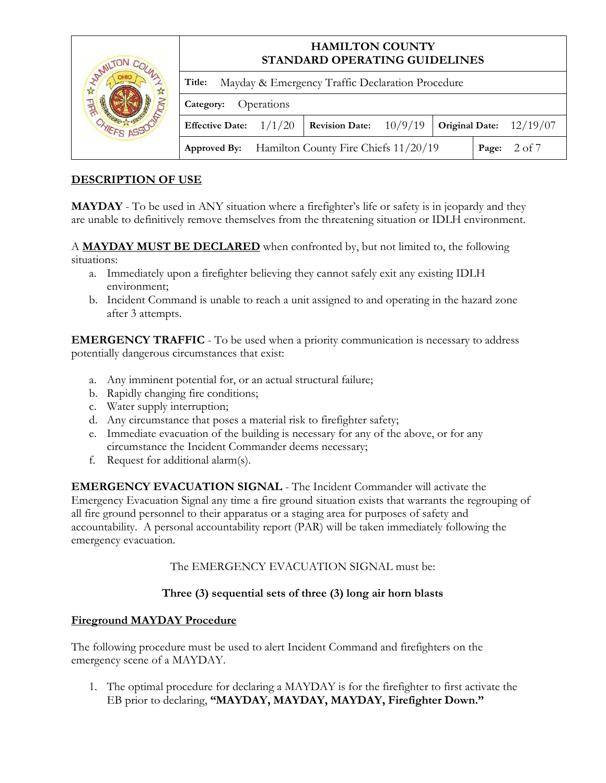| MILI |                        | <b>HAMILTON COUNTY</b><br>STANDARD OPERATING GUIDELINES |                                                          |         |  |                           |  |  |
|------|------------------------|---------------------------------------------------------|----------------------------------------------------------|---------|--|---------------------------|--|--|
|      | Title:                 |                                                         | Mayday & Emergency Traffic Declaration Procedure         |         |  |                           |  |  |
|      | Category:              | Operations                                              |                                                          |         |  |                           |  |  |
|      | <b>Effective Date:</b> | 1/1/20                                                  | <b>Revision Date:</b>                                    | 10/9/19 |  | Original Date: $12/19/07$ |  |  |
|      |                        |                                                         | <b>Approved By:</b> Hamilton County Fire Chiefs 11/20/19 |         |  | 2 of 7<br>Page:           |  |  |

## **DESCRIPTION OF USE**

**MAYDAY** - To be used in ANY situation where a firefighter's life or safety is in jeopardy and they are unable to definitively remove themselves from the threatening situation or IDLH environment.

A **MAYDAY MUST BE DECLARED** when confronted by, but not limited to, the following situations:

- a. Immediately upon a firefighter believing they cannot safely exit any existing IDLH environment;
- b. Incident Command is unable to reach a unit assigned to and operating in the hazard zone after 3 attempts.

**EMERGENCY TRAFFIC** - To be used when a priority communication is necessary to address potentially dangerous circumstances that exist:

- a. Any imminent potential for, or an actual structural failure;
- b. Rapidly changing fire conditions;
- c. Water supply interruption;
- d. Any circumstance that poses a material risk to firefighter safety;
- e. Immediate evacuation of the building is necessary for any of the above, or for any circumstance the Incident Commander deems necessary;
- f. Request for additional alarm(s).

**EMERGENCY EVACUATION SIGNAL** - The Incident Commander will activate the Emergency Evacuation Signal any time a fire ground situation exists that warrants the regrouping of all fire ground personnel to their apparatus or a staging area for purposes of safety and accountability. A personal accountability report (PAR) will be taken immediately following the emergency evacuation.

The EMERGENCY EVACUATION SIGNAL must be:

## **Three (3) sequential sets of three (3) long air horn blasts**

## **Fireground MAYDAY Procedure**

The following procedure must be used to alert Incident Command and firefighters on the emergency scene of a MAYDAY.

1. The optimal procedure for declaring a MAYDAY is for the firefighter to first activate the EB prior to declaring, **"MAYDAY, MAYDAY, MAYDAY, Firefighter Down."**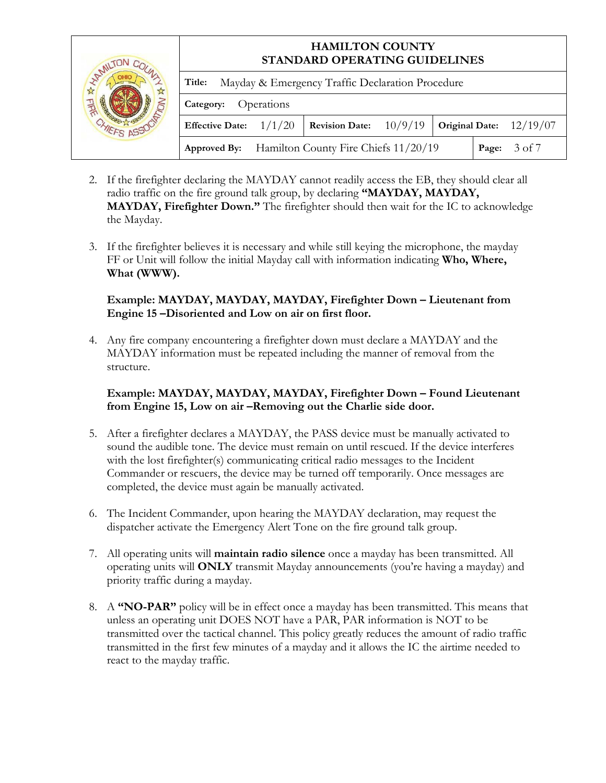|                     |                                                                                                  | <b>HAMILTON COUNTY</b><br>STANDARD OPERATING GUIDELINES |  |  |  |                 |  |  |
|---------------------|--------------------------------------------------------------------------------------------------|---------------------------------------------------------|--|--|--|-----------------|--|--|
| <b>HAMILTI</b><br>A | Title:                                                                                           | Mayday & Emergency Traffic Declaration Procedure        |  |  |  |                 |  |  |
|                     | Operations<br>Category:                                                                          |                                                         |  |  |  |                 |  |  |
|                     | <b>Revision Date:</b> $10/9/19$<br><b>Effective Date:</b><br>Original Date: $12/19/07$<br>1/1/20 |                                                         |  |  |  |                 |  |  |
|                     | <b>Approved By:</b> Hamilton County Fire Chiefs 11/20/19                                         |                                                         |  |  |  | 3 of 7<br>Page: |  |  |

- 2. If the firefighter declaring the MAYDAY cannot readily access the EB, they should clear all radio traffic on the fire ground talk group, by declaring **"MAYDAY, MAYDAY, MAYDAY, Firefighter Down."** The firefighter should then wait for the IC to acknowledge the Mayday.
- 3. If the firefighter believes it is necessary and while still keying the microphone, the mayday FF or Unit will follow the initial Mayday call with information indicating **Who, Where, What (WWW).**

## **Example: MAYDAY, MAYDAY, MAYDAY, Firefighter Down – Lieutenant from Engine 15 –Disoriented and Low on air on first floor.**

4. Any fire company encountering a firefighter down must declare a MAYDAY and the MAYDAY information must be repeated including the manner of removal from the structure.

## **Example: MAYDAY, MAYDAY, MAYDAY, Firefighter Down – Found Lieutenant from Engine 15, Low on air –Removing out the Charlie side door.**

- 5. After a firefighter declares a MAYDAY, the PASS device must be manually activated to sound the audible tone. The device must remain on until rescued. If the device interferes with the lost firefighter(s) communicating critical radio messages to the Incident Commander or rescuers, the device may be turned off temporarily. Once messages are completed, the device must again be manually activated.
- 6. The Incident Commander, upon hearing the MAYDAY declaration, may request the dispatcher activate the Emergency Alert Tone on the fire ground talk group.
- 7. All operating units will **maintain radio silence** once a mayday has been transmitted. All operating units will **ONLY** transmit Mayday announcements (you're having a mayday) and priority traffic during a mayday.
- 8. A **"NO-PAR"** policy will be in effect once a mayday has been transmitted. This means that unless an operating unit DOES NOT have a PAR, PAR information is NOT to be transmitted over the tactical channel. This policy greatly reduces the amount of radio traffic transmitted in the first few minutes of a mayday and it allows the IC the airtime needed to react to the mayday traffic.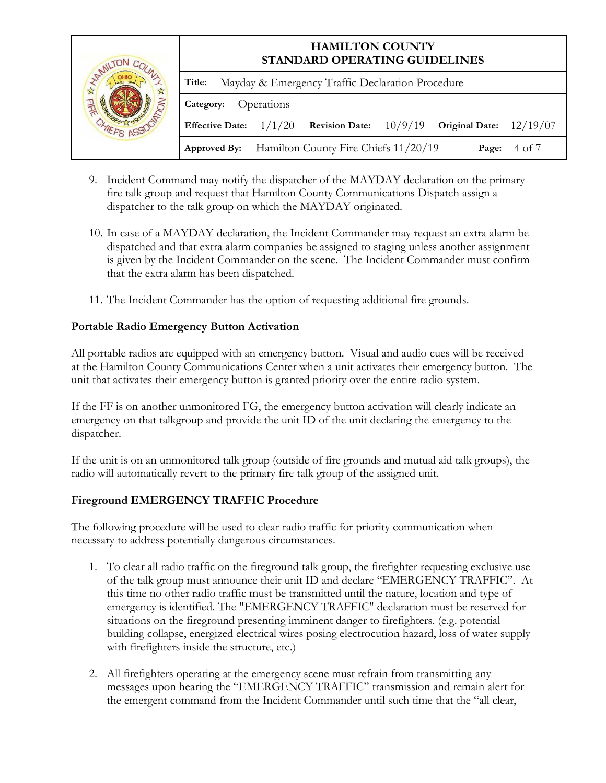| MILI |                                 | <b>HAMILTON COUNTY</b><br>STANDARD OPERATING GUIDELINES |                                                   |         |  |                           |  |  |
|------|---------------------------------|---------------------------------------------------------|---------------------------------------------------|---------|--|---------------------------|--|--|
|      | Title:                          |                                                         | Mayday & Emergency Traffic Declaration Procedure  |         |  |                           |  |  |
|      | Category:                       | Operations                                              |                                                   |         |  |                           |  |  |
|      | <b>Effective Date:</b> $1/1/20$ |                                                         | <b>Revision Date:</b>                             | 10/9/19 |  | Original Date: $12/19/07$ |  |  |
|      |                                 |                                                         | Approved By: Hamilton County Fire Chiefs 11/20/19 |         |  | 4 of 7<br>Page:           |  |  |

- 9. Incident Command may notify the dispatcher of the MAYDAY declaration on the primary fire talk group and request that Hamilton County Communications Dispatch assign a dispatcher to the talk group on which the MAYDAY originated.
- 10. In case of a MAYDAY declaration, the Incident Commander may request an extra alarm be dispatched and that extra alarm companies be assigned to staging unless another assignment is given by the Incident Commander on the scene. The Incident Commander must confirm that the extra alarm has been dispatched.
- 11. The Incident Commander has the option of requesting additional fire grounds.

#### **Portable Radio Emergency Button Activation**

All portable radios are equipped with an emergency button. Visual and audio cues will be received at the Hamilton County Communications Center when a unit activates their emergency button. The unit that activates their emergency button is granted priority over the entire radio system.

If the FF is on another unmonitored FG, the emergency button activation will clearly indicate an emergency on that talkgroup and provide the unit ID of the unit declaring the emergency to the dispatcher.

If the unit is on an unmonitored talk group (outside of fire grounds and mutual aid talk groups), the radio will automatically revert to the primary fire talk group of the assigned unit.

#### **Fireground EMERGENCY TRAFFIC Procedure**

The following procedure will be used to clear radio traffic for priority communication when necessary to address potentially dangerous circumstances.

- 1. To clear all radio traffic on the fireground talk group, the firefighter requesting exclusive use of the talk group must announce their unit ID and declare "EMERGENCY TRAFFIC". At this time no other radio traffic must be transmitted until the nature, location and type of emergency is identified. The "EMERGENCY TRAFFIC" declaration must be reserved for situations on the fireground presenting imminent danger to firefighters. (e.g. potential building collapse, energized electrical wires posing electrocution hazard, loss of water supply with firefighters inside the structure, etc.)
- 2. All firefighters operating at the emergency scene must refrain from transmitting any messages upon hearing the "EMERGENCY TRAFFIC" transmission and remain alert for the emergent command from the Incident Commander until such time that the "all clear,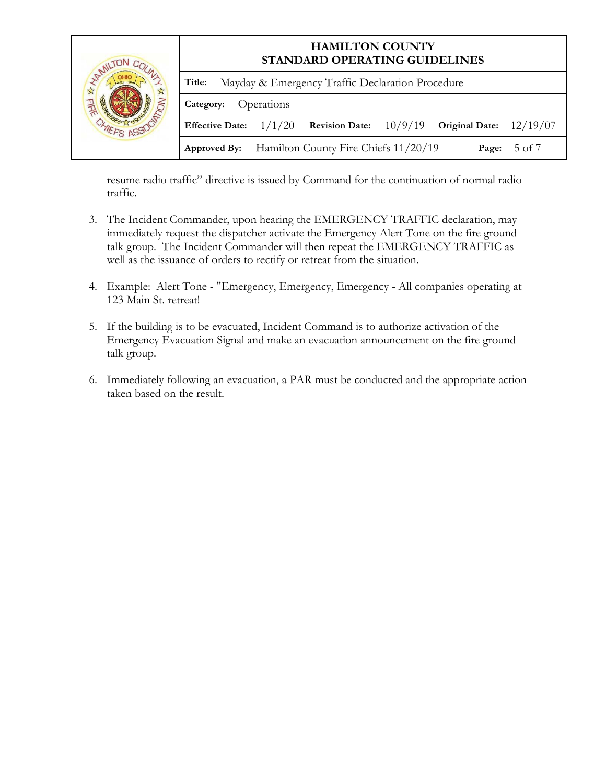|                     |                         | <b>HAMILTON COUNTY</b><br>STANDARD OPERATING GUIDELINES |                                                          |         |  |                           |  |
|---------------------|-------------------------|---------------------------------------------------------|----------------------------------------------------------|---------|--|---------------------------|--|
| <b>HAMILTI</b><br>A | Title:                  |                                                         | Mayday & Emergency Traffic Declaration Procedure         |         |  |                           |  |
|                     | Operations<br>Category: |                                                         |                                                          |         |  |                           |  |
|                     | <b>Effective Date:</b>  | 1/1/20                                                  | <b>Revision Date:</b>                                    | 10/9/19 |  | Original Date: $12/19/07$ |  |
|                     |                         |                                                         | <b>Approved By:</b> Hamilton County Fire Chiefs 11/20/19 |         |  | 5 of 7<br>Page:           |  |

resume radio traffic" directive is issued by Command for the continuation of normal radio traffic.

- 3. The Incident Commander, upon hearing the EMERGENCY TRAFFIC declaration, may immediately request the dispatcher activate the Emergency Alert Tone on the fire ground talk group. The Incident Commander will then repeat the EMERGENCY TRAFFIC as well as the issuance of orders to rectify or retreat from the situation.
- 4. Example: Alert Tone "Emergency, Emergency, Emergency All companies operating at 123 Main St. retreat!
- 5. If the building is to be evacuated, Incident Command is to authorize activation of the Emergency Evacuation Signal and make an evacuation announcement on the fire ground talk group.
- 6. Immediately following an evacuation, a PAR must be conducted and the appropriate action taken based on the result.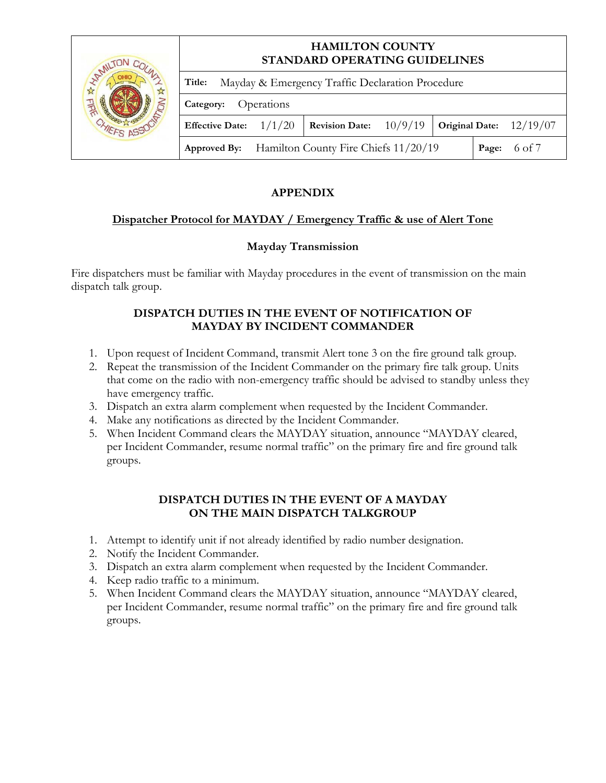|                    |                                 | <b>HAMILTON COUNTY</b><br>STANDARD OPERATING GUIDELINES |                                                          |  |  |                           |  |
|--------------------|---------------------------------|---------------------------------------------------------|----------------------------------------------------------|--|--|---------------------------|--|
| <b>HAMIL!</b><br>☆ | Title:                          |                                                         | Mayday & Emergency Traffic Declaration Procedure         |  |  |                           |  |
|                    | Category:                       | Operations                                              |                                                          |  |  |                           |  |
|                    | <b>Effective Date:</b> $1/1/20$ |                                                         | <b>Revision Date:</b> $10/9/19$                          |  |  | Original Date: $12/19/07$ |  |
|                    |                                 |                                                         | <b>Approved By:</b> Hamilton County Fire Chiefs 11/20/19 |  |  | 6 of 7<br>Page:           |  |

# **APPENDIX**

## **Dispatcher Protocol for MAYDAY / Emergency Traffic & use of Alert Tone**

## **Mayday Transmission**

Fire dispatchers must be familiar with Mayday procedures in the event of transmission on the main dispatch talk group.

## **DISPATCH DUTIES IN THE EVENT OF NOTIFICATION OF MAYDAY BY INCIDENT COMMANDER**

- 1. Upon request of Incident Command, transmit Alert tone 3 on the fire ground talk group.
- 2. Repeat the transmission of the Incident Commander on the primary fire talk group. Units that come on the radio with non-emergency traffic should be advised to standby unless they have emergency traffic.
- 3. Dispatch an extra alarm complement when requested by the Incident Commander.
- 4. Make any notifications as directed by the Incident Commander.
- 5. When Incident Command clears the MAYDAY situation, announce "MAYDAY cleared, per Incident Commander, resume normal traffic" on the primary fire and fire ground talk groups.

#### **DISPATCH DUTIES IN THE EVENT OF A MAYDAY ON THE MAIN DISPATCH TALKGROUP**

- 1. Attempt to identify unit if not already identified by radio number designation.
- 2. Notify the Incident Commander.
- 3. Dispatch an extra alarm complement when requested by the Incident Commander.
- 4. Keep radio traffic to a minimum.
- 5. When Incident Command clears the MAYDAY situation, announce "MAYDAY cleared, per Incident Commander, resume normal traffic" on the primary fire and fire ground talk groups.